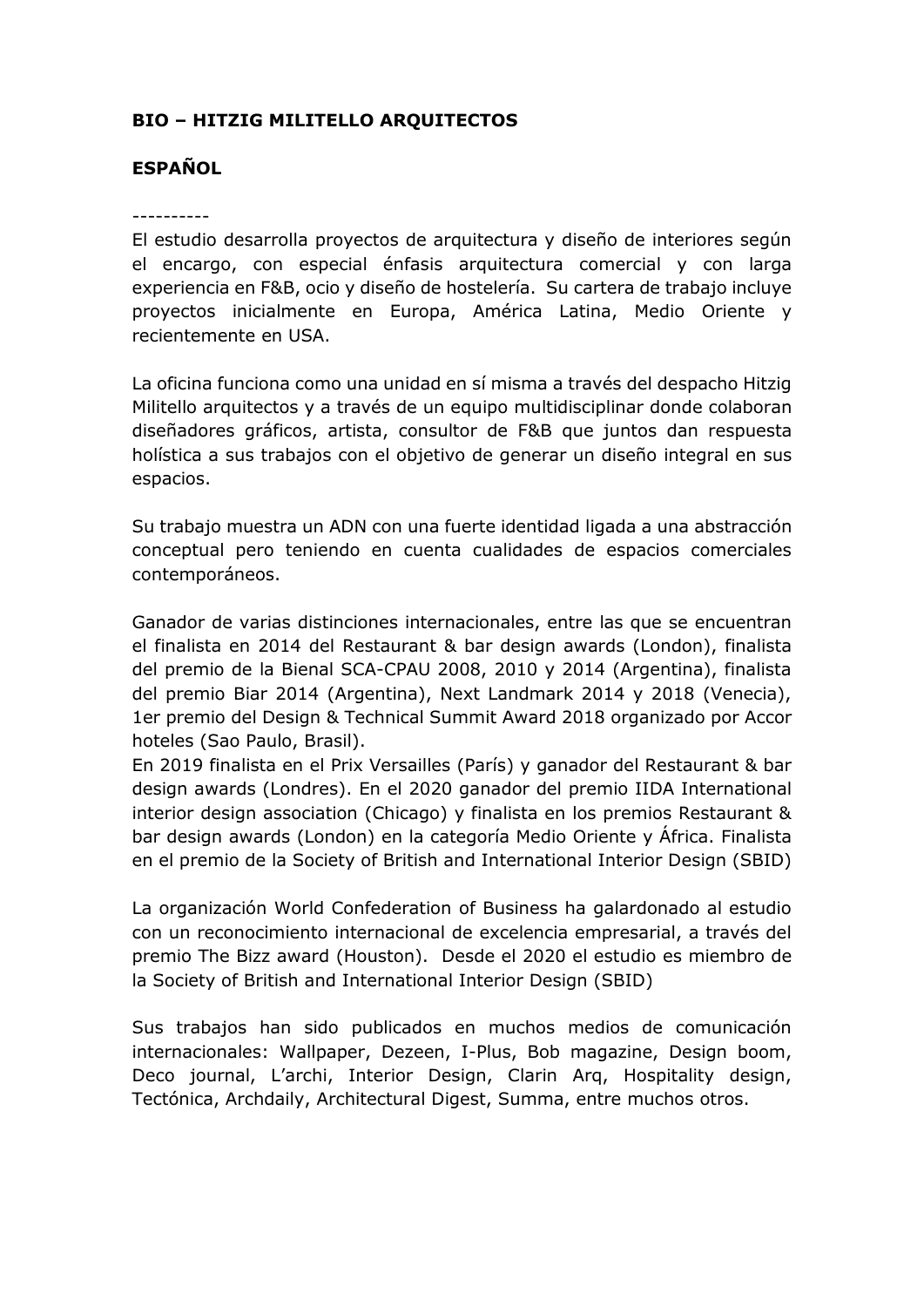# **BIO – HITZIG MILITELLO ARQUITECTOS**

### **ESPAÑOL**

#### ----------

El estudio desarrolla proyectos de arquitectura y diseño de interiores según el encargo, con especial énfasis arquitectura comercial y con larga experiencia en F&B, ocio y diseño de hostelería. Su cartera de trabajo incluye proyectos inicialmente en Europa, América Latina, Medio Oriente y recientemente en USA.

La oficina funciona como una unidad en sí misma a través del despacho Hitzig Militello arquitectos y a través de un equipo multidisciplinar donde colaboran diseñadores gráficos, artista, consultor de F&B que juntos dan respuesta holística a sus trabajos con el objetivo de generar un diseño integral en sus espacios.

Su trabajo muestra un ADN con una fuerte identidad ligada a una abstracción conceptual pero teniendo en cuenta cualidades de espacios comerciales contemporáneos.

Ganador de varias distinciones internacionales, entre las que se encuentran el finalista en 2014 del Restaurant & bar design awards (London), finalista del premio de la Bienal SCA-CPAU 2008, 2010 y 2014 (Argentina), finalista del premio Biar 2014 (Argentina), Next Landmark 2014 y 2018 (Venecia), 1er premio del Design & Technical Summit Award 2018 organizado por Accor hoteles (Sao Paulo, Brasil).

En 2019 finalista en el Prix Versailles (París) y ganador del Restaurant & bar design awards (Londres). En el 2020 ganador del premio IIDA International interior design association (Chicago) y finalista en los premios Restaurant & bar design awards (London) en la categoría Medio Oriente y África. Finalista en el premio de la Society of British and International Interior Design (SBID)

La organización World Confederation of Business ha galardonado al estudio con un reconocimiento internacional de excelencia empresarial, a través del premio The Bizz award (Houston). Desde el 2020 el estudio es miembro de la Society of British and International Interior Design (SBID)

Sus trabajos han sido publicados en muchos medios de comunicación internacionales: Wallpaper, Dezeen, I-Plus, Bob magazine, Design boom, Deco journal, L'archi, Interior Design, Clarin Arq, Hospitality design, Tectónica, Archdaily, Architectural Digest, Summa, entre muchos otros.